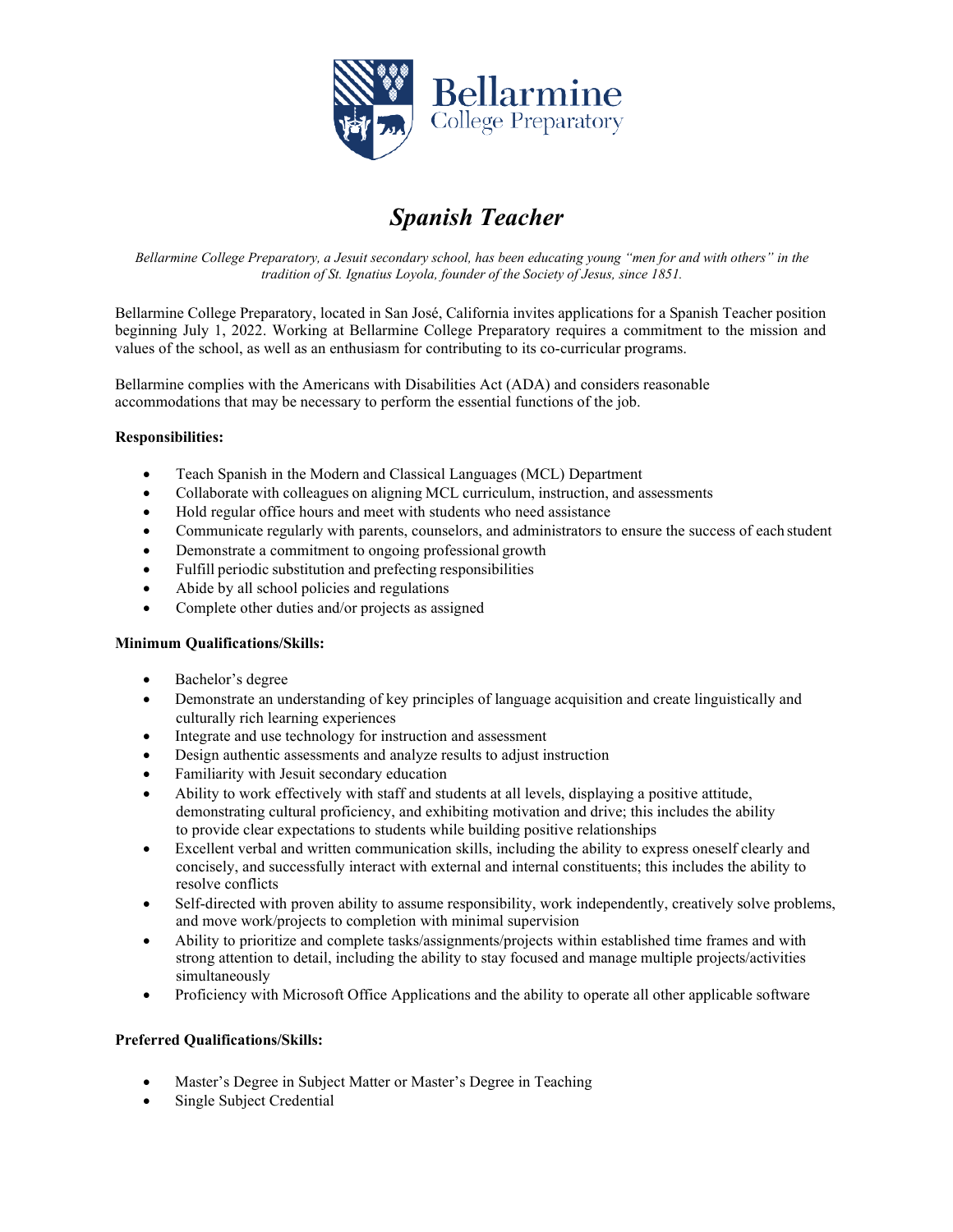

# *Spanish Teacher*

Bellarmine College Preparatory, a Jesuit secondary school, has been educating young "men for and with others" in the *tradition of St. Ignatius Loyola, founder of the Society of Jesus, since 1851.*

Bellarmine College Preparatory, located in San José, California invites applications for a Spanish Teacher position beginning July 1, 2022. Working at Bellarmine College Preparatory requires a commitment to the mission and values of the school, as well as an enthusiasm for contributing to its co-curricular programs.

Bellarmine complies with the Americans with Disabilities Act (ADA) and considers reasonable accommodations that may be necessary to perform the essential functions of the job.

## **Responsibilities:**

- Teach Spanish in the Modern and Classical Languages (MCL) Department
- Collaborate with colleagues on aligning MCL curriculum, instruction, and assessments
- Hold regular office hours and meet with students who need assistance
- Communicate regularly with parents, counselors, and administrators to ensure the success of each student
- Demonstrate a commitment to ongoing professional growth
- Fulfill periodic substitution and prefecting responsibilities
- Abide by all school policies and regulations
- Complete other duties and/or projects as assigned

## **Minimum Qualifications/Skills:**

- Bachelor's degree
- Demonstrate an understanding of key principles of language acquisition and create linguistically and culturally rich learning experiences
- Integrate and use technology for instruction and assessment
- Design authentic assessments and analyze results to adjust instruction
- Familiarity with Jesuit secondary education
- Ability to work effectively with staff and students at all levels, displaying a positive attitude, demonstrating cultural proficiency, and exhibiting motivation and drive; this includes the ability to provide clear expectations to students while building positive relationships
- Excellent verbal and written communication skills, including the ability to express oneself clearly and concisely, and successfully interact with external and internal constituents; this includes the ability to resolve conflicts
- Self-directed with proven ability to assume responsibility, work independently, creatively solve problems, and move work/projects to completion with minimal supervision
- Ability to prioritize and complete tasks/assignments/projects within established time frames and with strong attention to detail, including the ability to stay focused and manage multiple projects/activities simultaneously
- Proficiency with Microsoft Office Applications and the ability to operate all other applicable software

## **Preferred Qualifications/Skills:**

- Master's Degree in Subject Matter or Master's Degree in Teaching
- Single Subject Credential